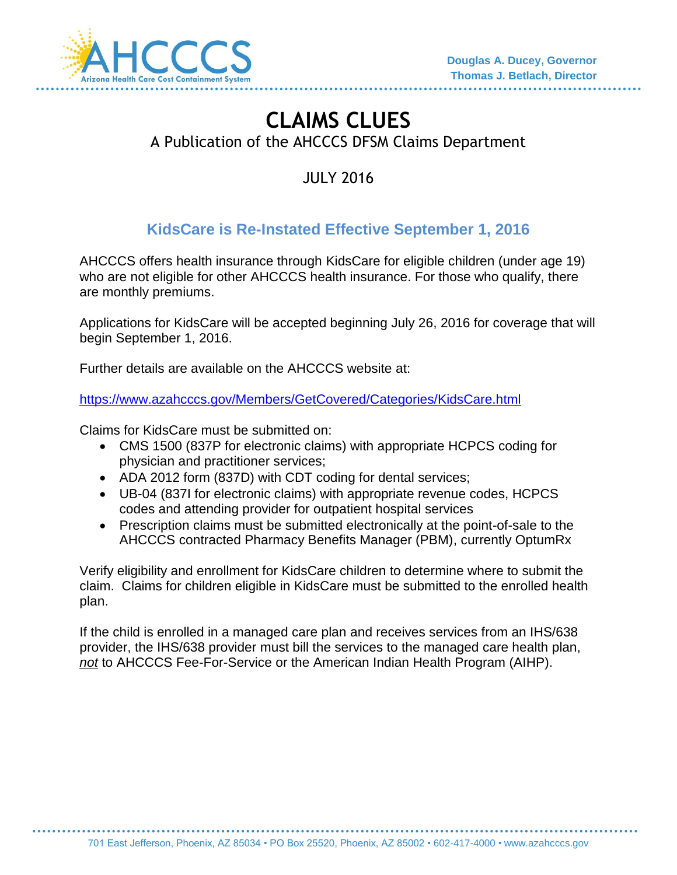

# **CLAIMS CLUES**  A Publication of the AHCCCS DFSM Claims Department

JULY 2016

## **KidsCare is Re-Instated Effective September 1, 2016**

AHCCCS offers health insurance through KidsCare for eligible children (under age 19) who are not eligible for other AHCCCS health insurance. For those who qualify, there are monthly premiums.

Applications for KidsCare will be accepted beginning July 26, 2016 for coverage that will begin September 1, 2016.

Further details are available on the AHCCCS website at:

<https://www.azahcccs.gov/Members/GetCovered/Categories/KidsCare.html>

Claims for KidsCare must be submitted on:

- CMS 1500 (837P for electronic claims) with appropriate HCPCS coding for physician and practitioner services;
- ADA 2012 form (837D) with CDT coding for dental services;
- UB-04 (837I for electronic claims) with appropriate revenue codes, HCPCS codes and attending provider for outpatient hospital services
- Prescription claims must be submitted electronically at the point-of-sale to the AHCCCS contracted Pharmacy Benefits Manager (PBM), currently OptumRx

Verify eligibility and enrollment for KidsCare children to determine where to submit the claim. Claims for children eligible in KidsCare must be submitted to the enrolled health plan.

If the child is enrolled in a managed care plan and receives services from an IHS/638 provider, the IHS/638 provider must bill the services to the managed care health plan, *not* to AHCCCS Fee-For-Service or the American Indian Health Program (AIHP).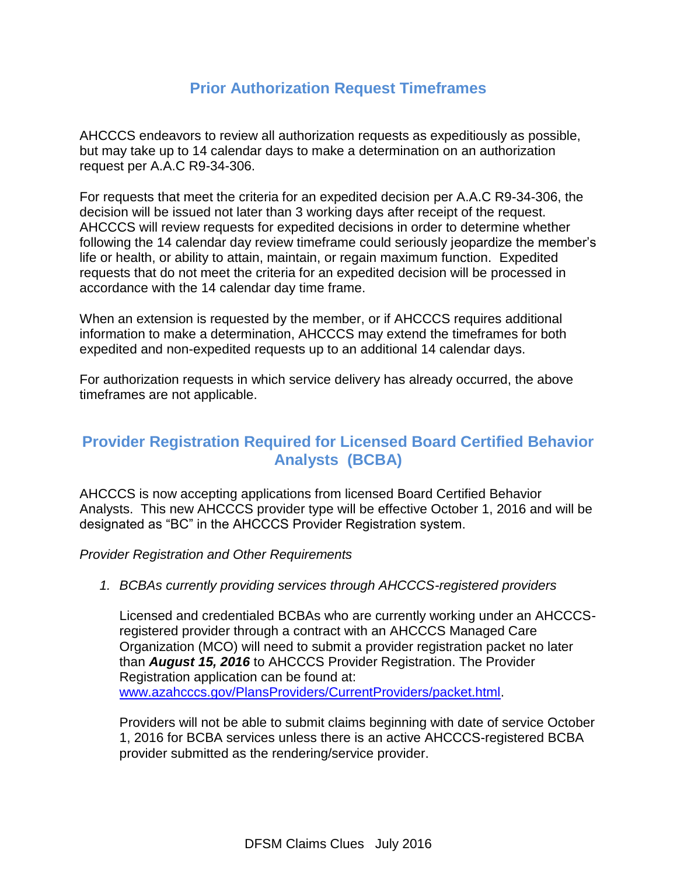### **Prior Authorization Request Timeframes**

AHCCCS endeavors to review all authorization requests as expeditiously as possible, but may take up to 14 calendar days to make a determination on an authorization request per A.A.C R9-34-306.

For requests that meet the criteria for an expedited decision per A.A.C R9-34-306, the decision will be issued not later than 3 working days after receipt of the request. AHCCCS will review requests for expedited decisions in order to determine whether following the 14 calendar day review timeframe could seriously jeopardize the member's life or health, or ability to attain, maintain, or regain maximum function. Expedited requests that do not meet the criteria for an expedited decision will be processed in accordance with the 14 calendar day time frame.

When an extension is requested by the member, or if AHCCCS requires additional information to make a determination, AHCCCS may extend the timeframes for both expedited and non-expedited requests up to an additional 14 calendar days.

For authorization requests in which service delivery has already occurred, the above timeframes are not applicable.

#### **Provider Registration Required for Licensed Board Certified Behavior Analysts (BCBA)**

AHCCCS is now accepting applications from licensed Board Certified Behavior Analysts. This new AHCCCS provider type will be effective October 1, 2016 and will be designated as "BC" in the AHCCCS Provider Registration system.

*Provider Registration and Other Requirements* 

#### *1. BCBAs currently providing services through AHCCCS-registered providers*

Licensed and credentialed BCBAs who are currently working under an AHCCCSregistered provider through a contract with an AHCCCS Managed Care Organization (MCO) will need to submit a provider registration packet no later than *August 15, 2016* to AHCCCS Provider Registration. The Provider Registration application can be found at: [www.azahcccs.gov/PlansProviders/CurrentProviders/packet.html.](http://www.azahcccs.gov/PlansProviders/CurrentProviders/packet.html)

Providers will not be able to submit claims beginning with date of service October 1, 2016 for BCBA services unless there is an active AHCCCS-registered BCBA provider submitted as the rendering/service provider.